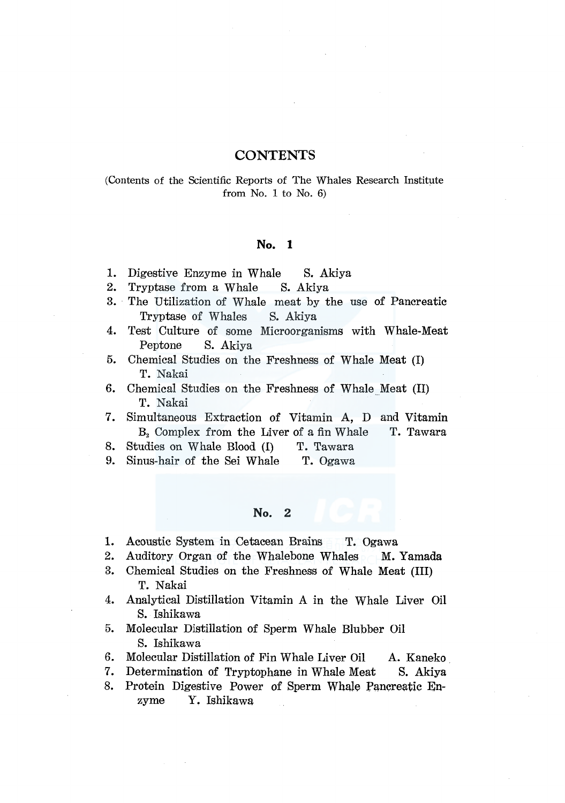## **CONTENTS**

### (Contents of the Scientific Reports of The Whales Research Institute from No. 1 to No. 6)

#### **No. 1**

- 1. Digestive Enzyme in Whale S. Akiya
- 2. Tryptase from a Whale S. Akiya
- 3. The Utilization of Whale meat by the use of Pancreatic Tryptase of Whales S. Akiya
- 4. Test Culture of some Microorganisms with Whale-Meat Peptone S. Akiya
- 5. Chemical Studies on the Freshness of Whale Meat (I) T. Nakai
- 6. Chemical Studies on the Freshness of Whale Meat (II) T. Nakai
- 7. Simultaneous Extraction of Vitamin A, D and Vitamin  $B_2$  Complex from the Liver of a fin Whale T. Tawara
- 8. Studies on Whale Blood (I) T. Tawara
- 9. Sinus-hair of the Sei Whale T. Ogawa

#### **No. 2**

- 1. Acoustic System in Cetacean Brains T. Ogawa
- 2. Auditory Organ of the Whalebone Whales M. Yamada
- 3. Chemical Studies on the Freshness of Whale Meat (III) T. Nakai
- 4. Analytical Distillation Vitamin A in the Whale Liver Oil S. Ishikawa
- 5. Molecular Distillation of Sperm Whale Blubber Oil S. Ishikawa
- 6. Molecular Distillation of Fin Whale Liver Oil A. Kaneko.
- 7. Determination of Tryptophane in Whale Meat S. Akiya
- 8. Protein Digestive Power of Sperm Whale Pancreatic Enzyme Y. Ishikawa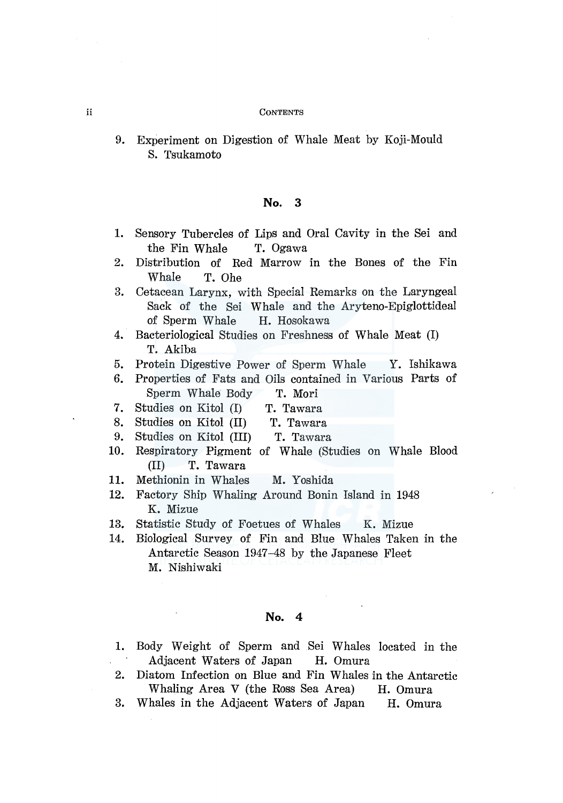#### ii CONTENTS

9. Experiment on Digestion of Whale Meat by Koji-Mould S. Tsukamoto

# No. 3

- 1. Sensory Tubercles of Lips and Oral Cavity in the Sei and the Fin Whale T. Ogawa
- 2. Distribution of Red Marrow in the Bones of the Fin Whale T. Ohe
- 3. Cetacean Larynx, with Special Remarks on the Laryngeal Sack of the Sei Whale and the Aryteno-Epiglottideal of Sperm Whale H. Hosokawa
- 4. Bacteriological Studies on Freshness of Whale Meat (I) T. Akiba
- 5. Protein Digestive Power of Sperm Whale Y. Ishikawa
- 6. Properties of Fats and Oils contained in Various Parts of Sperm Whale Body T. Mori
- 7. Studies on Kitol (I) T. Tawara
- 8. Studies on Kitol (II) T. Tawara
- 9. Studies on Kitol (III) T. Tawara
- 10. Respiratory Pigment of Whale (Studies on Whale Blood (II) T. Tawara
- 11. Methionin in Whales M. Yoshida
- 12. Factory Ship Whaling Around Bonin Island in 1948 K. Mizue
- 13. Statistic Study of Foetues of Whales K. Mizue
- 14. Biological Survey of Fin and Blue Whales Taken in the Antarctic Season 1947-48 by the Japanese Fleet M. Nishiwaki

### No. 4

- 1. Body Weight of Sperm and Sei Whales located in the Adjacent Waters of Japan H. Omura
- 2. Diatom Infection on Blue and Fin Whales in the Antarctic Whaling Area V (the Ross Sea Area) H. Omura
- 3. Whales in the Adjacent Waters of Japan H. Omura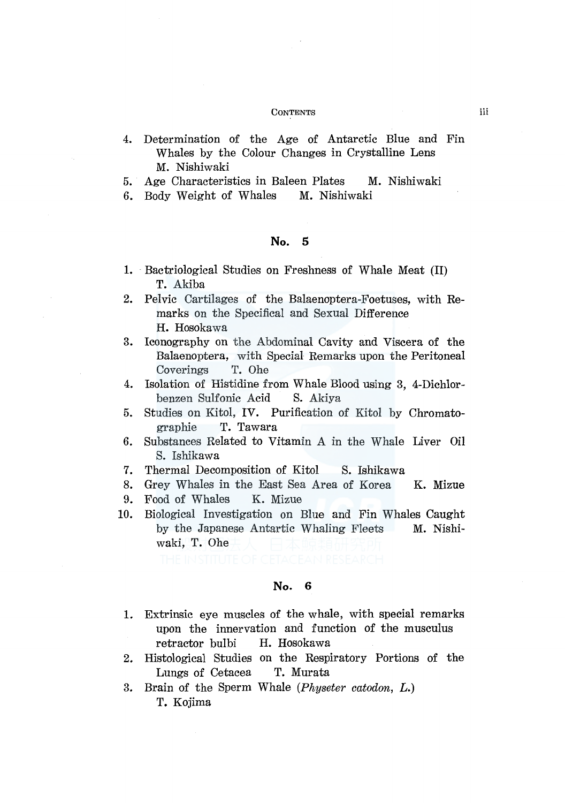#### **CONTENTS**

- 4. Determination of the Age of Antarctic Blue and Fin Whales by the Colour Changes in Crystalline Lens M. Nishiwaki
- 5. Age Characteristics in Baleen Plates M. Nishiwaki
- 6. Body Weight of Whales M. Nishiwaki

#### No. 5

- 1. Bactriological Studies on Freshness of Whale Meat (II) T. Akiba
- 2. Pelvic Cartilages of the Balaenoptera-Foetuses, with Remarks on the Specifical and Sexual Difference H. Hosokawa
- 3. Iconography on the Abdominal Cavity and Viscera of the Balaenoptera, with Special Remarks upon the Peritoneal Coverings T. Ohe
- 4. Isolation of Histidine from Whale Blood using 3, 4-Dichlorbenzen Sulfonic Acid S. Akiya
- 5. Studies on Kitol, IV. Purification of Kitol by Chromatographie T. Tawara
- 6. Substances Related to Vitamin A in the Whale Liver Oil S. Ishikawa
- 7. Thermal Decomposition of Kitol S. Ishikawa
- 8. Grey Whales in the East Sea Area of Korea K. Mizue
- 9. Food of Whales K. Mizue
- 10. Biological Investigation on Blue and Fin Whales Caught by the Japanese Antartic Whaling Fleets M. Nishiwaki, T. Ohe

## No. 6

- 1. Extrinsic eye muscles of the whale, with special remarks upon the innervation and function of the musculus retractor bulbi H. Hosokawa
- 2. Histological Studies on the Respiratory Portions of the Lungs of Cetacea T. Murata
- 3. Brain of the Sperm Whale *(Physeter catodon, L.)*  T. Kojima